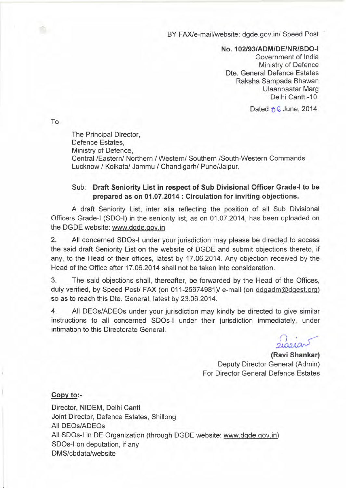BY FAX/e-mail/website: dgde.gov.in/ Speed Post

NO.102/93/ADM/DE/NRISDO-1

Government of India Ministry of Defence Dte. General Defence Estates Raksha Sampada Bhawan Ulaanbaatar Marg Delhi Cantt.-10.

Dated  $\uparrow$  G June, 2014.

To

The Principal Director, Defence Estates, Ministry of Defence, Central *IEasternl* Northern *1*Westernl Southern ISouth-Western Commands Lucknow / Kolkata/ Jammu / Chandigarh/ Pune/Jaipur.

## Sub: Draft Seniority List in respect of Sub Divisional Officer Grade-I to be prepared as on 01.07.2014 : Circulation for inviting objections.

A draft Seniority List, inter alia reflecting the position of all Sub Divisional Officers Grade-I (SDO-I) in the seniority list, as on 01.07.2014, has been uploaded on the DGDE website: www.dgde.gov.in

2. All concerned SDOs-1 under your jurisdiction may please be directed to access the said draft Seniority List on the website of DGDE and submit objections thereto, if any, to the Head of their offices, latest by 17.06.2014. Any objection received by the Head of the Office after 17.06.2014 shall not be taken into consideration.

3. The said objections shall, thereafter, be forwarded by the Head of the Offices, duly verified, by Speed Post/ FAX (on 011-25674981)/ e-mail (on ddgadm@dgest.org) so as to reach this Dte. General, latest by 23.06.2014.

4. All DEOs/ADEOs under your jurisdiction may kindly be directed to give similar instructions to all concerned SDOs-1 under their jurisdiction immediately, under intimation to this Directorate General.

~

(Ravi Shankar) Deputy Director General (Admin) For Director General Defence Estates

## Copy to:-

Director, NIDEM, Delhi Cantt Joint Director, Defence Estates, Shillong All DEOs/ADEOs All SDOs-1 in DE Organization (through DGDE website: www.dgde.gov.in) SDOs-1 on deputation, if any DMS/cbdata/website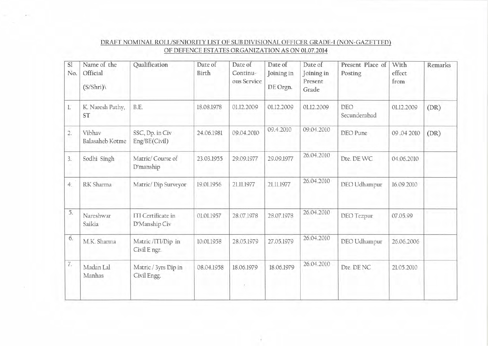| SI<br>No.        | Name of the<br>Official<br>(S/Shri) | Qualification                              | Date of<br>Birth | Date of<br>Continu-<br>ous Service | Date of<br>Joining in<br>DE Orgn. | Date of<br>Joining in<br>Present<br>Grade | Present Place of<br>Posting | With<br>effect<br>from | Remarks |
|------------------|-------------------------------------|--------------------------------------------|------------------|------------------------------------|-----------------------------------|-------------------------------------------|-----------------------------|------------------------|---------|
| l.               | K. Naresh Pathy,<br>ST              | B.E.                                       | 18.08.1978       | 01.12.2009                         | 01.12.2009                        | 01.12.2009                                | <b>DEO</b><br>Secunderabad  | 01.12.2009             | (DR)    |
| $\overline{2}$ . | Vibhav<br>Balasaheb Kotme           | SSC, Dp. in Civ<br>Eng/BE(Civil)           | 24.06.1981       | 09.04.2010                         | 09.4.2010                         | 09.04.2010                                | DEO Pune                    | 09.04 2010             | (DR)    |
| 3.               | Sodhi Singh                         | Matric/Course of<br>D'manship              | 23.03.1955       | 29.09.1977                         | 29.09.1977                        | 26.04.2010                                | Dte. DE WC                  | 04.06.2010             |         |
| 4.               | RK Sharma                           | Matric/Dip Surveyor                        | 19.01.1956       | 21.11.1977                         | 21.11.1977                        | 26.04.2010                                | DEO Udhampur                | 16.09.2010             |         |
| 5.               | Nareshwar<br>Saikia                 | <b>ITI</b> Certificate in<br>D'Manship Civ | 01.01.1957       | 28.07.1978                         | 28.07.1978                        | 26.04.2010                                | DEO Tezpur                  | 07.05.99               |         |
| 6.               | M.K. Sharma                         | Matric/ITI/Dip in<br>Civil E ngr.          | 10.01.1958       | 28.05.1979                         | 27.05.1979                        | 26.04.2010                                | DEO Udhampur                | 26.06.2006             |         |
| 7.               | Madan Lal<br>Manhas                 | Matric / 3yrs Dip in<br>Civil Engg.        | 08.04.1958       | 18.06.1979                         | 18.06.1979                        | 26.04.2010                                | Dte. DE NC                  | 21.05.2010             |         |

## DRAFT NOMINAL ROLL/SENIORITY LIST OF SUB DIVISIONAL OFFICER GRADE~I (NON~GAZETTED) OF DEFENCE ESTATES ORGANIZATION AS ON 01.07.2014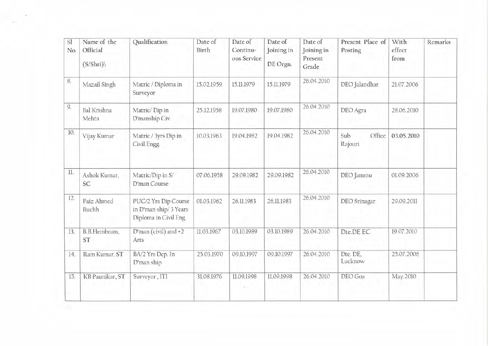| SI<br>No. | Name of the<br>Official<br>(S/Shri) | Qualification                                                           | Date of<br>Birth | Date of<br>Continu-<br>ous Service | Date of<br>Joining in<br>DE Orgn. | Date of<br>Joining in<br>Present<br>Grade | Present Place of<br>Posting | With<br>effect<br>from | Remarks |
|-----------|-------------------------------------|-------------------------------------------------------------------------|------------------|------------------------------------|-----------------------------------|-------------------------------------------|-----------------------------|------------------------|---------|
| 8.        | Mazail Singh                        | Matric / Diploma in<br>Surveyor                                         | 15.02.1959       | 15.11.1979                         | 15.11.1979                        | 26.04.2010                                | DEO Jalandhar               | 21.07.2006             |         |
| 9.        | <b>Bal Krishna</b><br>Mehta         | Matric/Dip in<br>D'manship Civ.                                         | 25.12.1958       | 19.07.1980                         | 19.07.1980                        | 26.04.2010                                | DEO Agra                    | 28.06.2010             |         |
| 10.       | Vijay Kumar                         | Matric / 3yrs Dip in<br>Civil Engg.                                     | 10.03.1963       | 19.04.1982                         | 19.04.1982                        | 26.04.2010                                | Sub<br>Office<br>Rajouri    | 03.05.2010             |         |
| 11.       | Ashok Kumar,<br>SC                  | Matric/Dip in S/<br>D'man Course                                        | 07.06.1958       | 29.09.1982                         | 29.09.1982                        | 26.04.2010                                | DEO Jammu                   | 01.09.2006             |         |
| 12.       | Faiz Ahmed<br>Buchh                 | PUC/2 Yrs Dip Course<br>in D'man ship/ 3 Years<br>Diploma in Civil Eng. | 01.03.1962       | 26.11.1983                         | 26.11.1983                        | 26.04.2010                                | DEO Srinagar                | 29.09.2011             |         |
| 13.<br>w  | B.B.Hembram,<br>ST                  | D'man (civil) and +2<br>Arts                                            | 11.03.1967       | 03.10.1989                         | 03.10.1989                        | 26.04.2010                                | Dte.DE EC                   | 19.07.2010             |         |
| 14.       | Ram Kumar, ST                       | BA/2 Yrs Dep. In<br>D'man ship                                          | 25.03.1970       | 09.10.1997                         | 09.10.1997                        | 26.04.2010                                | Dte. DE,<br>Lucknow         | 25.07.2006             |         |
| 15.       | KB Paunikar, ST                     | Surveyor, ITI                                                           | 31.08.1976       | 11.09.1998                         | 11.09.1998                        | 26.04.2010                                | DEO Goa                     | May.2010               |         |

 $\sim$